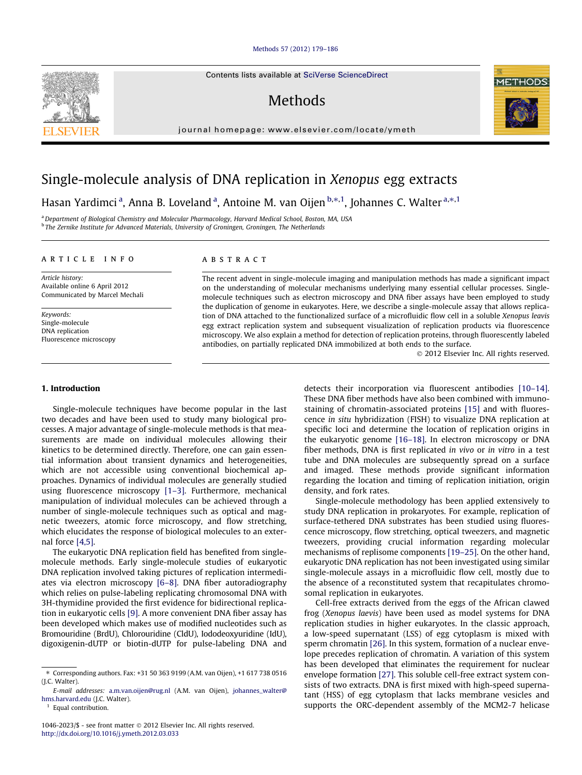## [Methods 57 \(2012\) 179–186](http://dx.doi.org/10.1016/j.ymeth.2012.03.033)

Contents lists available at [SciVerse ScienceDirect](http://www.sciencedirect.com/science/journal/10462023)

# **Methods**

journal homepage: [www.elsevier.com/locate/ymeth](http://www.elsevier.com/locate/ymeth)

## Single-molecule analysis of DNA replication in Xenopus egg extracts

Hasan Yardimci <sup>a</sup>, Anna B. Loveland <sup>a</sup>, Antoine M. van Oijen <sup>b,</sup>\*<sup>, 1</sup>, Johannes C. Walter <sup>a,\*, 1</sup>

aDepartment of Biological Chemistry and Molecular Pharmacology, Harvard Medical School, Boston, MA, USA <sup>b</sup> The Zernike Institute for Advanced Materials, University of Groningen, Groningen, The Netherlands

## article info

Article history: Available online 6 April 2012 Communicated by Marcel Mechali

Keywords: Single-molecule DNA replication Fluorescence microscopy

## 1. Introduction

Single-molecule techniques have become popular in the last two decades and have been used to study many biological processes. A major advantage of single-molecule methods is that measurements are made on individual molecules allowing their kinetics to be determined directly. Therefore, one can gain essential information about transient dynamics and heterogeneities, which are not accessible using conventional biochemical approaches. Dynamics of individual molecules are generally studied using fluorescence microscopy [\[1–3\].](#page-7-0) Furthermore, mechanical manipulation of individual molecules can be achieved through a number of single-molecule techniques such as optical and magnetic tweezers, atomic force microscopy, and flow stretching, which elucidates the response of biological molecules to an external force [\[4,5\].](#page-7-0)

The eukaryotic DNA replication field has benefited from singlemolecule methods. Early single-molecule studies of eukaryotic DNA replication involved taking pictures of replication intermediates via electron microscopy [\[6–8\]](#page-7-0). DNA fiber autoradiography which relies on pulse-labeling replicating chromosomal DNA with 3H-thymidine provided the first evidence for bidirectional replication in eukaryotic cells [\[9\]](#page-7-0). A more convenient DNA fiber assay has been developed which makes use of modified nucleotides such as Bromouridine (BrdU), Chlorouridine (CldU), Iododeoxyuridine (IdU), digoxigenin-dUTP or biotin-dUTP for pulse-labeling DNA and

## **ABSTRACT**

The recent advent in single-molecule imaging and manipulation methods has made a significant impact on the understanding of molecular mechanisms underlying many essential cellular processes. Singlemolecule techniques such as electron microscopy and DNA fiber assays have been employed to study the duplication of genome in eukaryotes. Here, we describe a single-molecule assay that allows replication of DNA attached to the functionalized surface of a microfluidic flow cell in a soluble Xenopus leavis egg extract replication system and subsequent visualization of replication products via fluorescence microscopy. We also explain a method for detection of replication proteins, through fluorescently labeled antibodies, on partially replicated DNA immobilized at both ends to the surface.

- 2012 Elsevier Inc. All rights reserved.

detects their incorporation via fluorescent antibodies [\[10–14\].](#page-7-0) These DNA fiber methods have also been combined with immunostaining of chromatin-associated proteins [\[15\]](#page-7-0) and with fluorescence in situ hybridization (FISH) to visualize DNA replication at specific loci and determine the location of replication origins in the eukaryotic genome [\[16–18\].](#page-7-0) In electron microscopy or DNA fiber methods, DNA is first replicated in vivo or in vitro in a test tube and DNA molecules are subsequently spread on a surface and imaged. These methods provide significant information regarding the location and timing of replication initiation, origin density, and fork rates.

Single-molecule methodology has been applied extensively to study DNA replication in prokaryotes. For example, replication of surface-tethered DNA substrates has been studied using fluorescence microscopy, flow stretching, optical tweezers, and magnetic tweezers, providing crucial information regarding molecular mechanisms of replisome components [\[19–25\]](#page-7-0). On the other hand, eukaryotic DNA replication has not been investigated using similar single-molecule assays in a microfluidic flow cell, mostly due to the absence of a reconstituted system that recapitulates chromosomal replication in eukaryotes.

Cell-free extracts derived from the eggs of the African clawed frog (Xenopus laevis) have been used as model systems for DNA replication studies in higher eukaryotes. In the classic approach, a low-speed supernatant (LSS) of egg cytoplasm is mixed with sperm chromatin [\[26\]](#page-7-0). In this system, formation of a nuclear envelope precedes replication of chromatin. A variation of this system has been developed that eliminates the requirement for nuclear envelope formation [\[27\]](#page-7-0). This soluble cell-free extract system consists of two extracts. DNA is first mixed with high-speed supernatant (HSS) of egg cytoplasm that lacks membrane vesicles and supports the ORC-dependent assembly of the MCM2-7 helicase





<sup>⇑</sup> Corresponding authors. Fax: +31 50 363 9199 (A.M. van Oijen), +1 617 738 0516 (J.C. Walter).

E-mail addresses: [a.m.van.oijen@rug.nl](mailto:a.m.van.oijen@rug.nl) (A.M. van Oijen), [johannes\\_walter@](mailto:johannes_walter@hms.harvard.edu) [hms.harvard.edu](mailto:johannes_walter@hms.harvard.edu) (J.C. Walter).

<sup>&</sup>lt;sup>1</sup> Equal contribution.

<sup>1046-2023/\$ -</sup> see front matter @ 2012 Elsevier Inc. All rights reserved. <http://dx.doi.org/10.1016/j.ymeth.2012.03.033>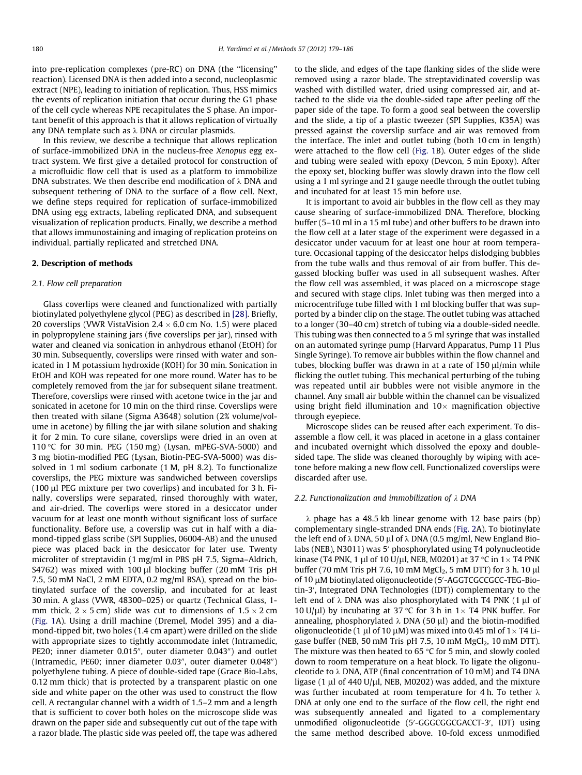into pre-replication complexes (pre-RC) on DNA (the ''licensing'' reaction). Licensed DNA is then added into a second, nucleoplasmic extract (NPE), leading to initiation of replication. Thus, HSS mimics the events of replication initiation that occur during the G1 phase of the cell cycle whereas NPE recapitulates the S phase. An important benefit of this approach is that it allows replication of virtually any DNA template such as  $\lambda$  DNA or circular plasmids.

In this review, we describe a technique that allows replication of surface-immobilized DNA in the nucleus-free Xenopus egg extract system. We first give a detailed protocol for construction of a microfluidic flow cell that is used as a platform to immobilize DNA substrates. We then describe end modification of  $\lambda$  DNA and subsequent tethering of DNA to the surface of a flow cell. Next, we define steps required for replication of surface-immobilized DNA using egg extracts, labeling replicated DNA, and subsequent visualization of replication products. Finally, we describe a method that allows immunostaining and imaging of replication proteins on individual, partially replicated and stretched DNA.

## 2. Description of methods

## 2.1. Flow cell preparation

Glass coverlips were cleaned and functionalized with partially biotinylated polyethylene glycol (PEG) as described in [\[28\]](#page-7-0). Briefly, 20 coverslips (VWR VistaVision 2.4  $\times$  6.0 cm No. 1.5) were placed in polypropylene staining jars (five coverslips per jar), rinsed with water and cleaned via sonication in anhydrous ethanol (EtOH) for 30 min. Subsequently, coverslips were rinsed with water and sonicated in 1 M potassium hydroxide (KOH) for 30 min. Sonication in EtOH and KOH was repeated for one more round. Water has to be completely removed from the jar for subsequent silane treatment. Therefore, coverslips were rinsed with acetone twice in the jar and sonicated in acetone for 10 min on the third rinse. Coverslips were then treated with silane (Sigma A3648) solution (2% volume/volume in acetone) by filling the jar with silane solution and shaking it for 2 min. To cure silane, coverslips were dried in an oven at 110 °C for 30 min. PEG (150 mg) (Lysan, mPEG-SVA-5000) and 3 mg biotin-modified PEG (Lysan, Biotin-PEG-SVA-5000) was dissolved in 1 ml sodium carbonate (1 M, pH 8.2). To functionalize coverslips, the PEG mixture was sandwiched between coverslips  $(100 \mu)$  PEG mixture per two coverlips) and incubated for 3 h. Finally, coverslips were separated, rinsed thoroughly with water, and air-dried. The coverlips were stored in a desiccator under vacuum for at least one month without significant loss of surface functionality. Before use, a coverslip was cut in half with a diamond-tipped glass scribe (SPI Supplies, 06004-AB) and the unused piece was placed back in the desiccator for later use. Twenty microliter of streptavidin (1 mg/ml in PBS pH 7.5, Sigma–Aldrich, S4762) was mixed with 100  $\mu$ l blocking buffer (20 mM Tris pH 7.5, 50 mM NaCl, 2 mM EDTA, 0.2 mg/ml BSA), spread on the biotinylated surface of the coverslip, and incubated for at least 30 min. A glass (VWR, 48300–025) or quartz (Technical Glass, 1 mm thick, 2  $\times$  5 cm) slide was cut to dimensions of 1.5  $\times$  2 cm ([Fig. 1](#page-2-0)A). Using a drill machine (Dremel, Model 395) and a diamond-tipped bit, two holes (1.4 cm apart) were drilled on the slide with appropriate sizes to tightly accommodate inlet (Intramedic, PE20; inner diameter 0.015", outer diameter 0.043") and outlet (Intramedic, PE60; inner diameter 0.03", outer diameter  $0.048$ ") polyethylene tubing. A piece of double-sided tape (Grace Bio-Labs, 0.12 mm thick) that is protected by a transparent plastic on one side and white paper on the other was used to construct the flow cell. A rectangular channel with a width of 1.5–2 mm and a length that is sufficient to cover both holes on the microscope slide was drawn on the paper side and subsequently cut out of the tape with a razor blade. The plastic side was peeled off, the tape was adhered to the slide, and edges of the tape flanking sides of the slide were removed using a razor blade. The streptavidinated coverslip was washed with distilled water, dried using compressed air, and attached to the slide via the double-sided tape after peeling off the paper side of the tape. To form a good seal between the coverslip and the slide, a tip of a plastic tweezer (SPI Supplies, K35A) was pressed against the coverslip surface and air was removed from the interface. The inlet and outlet tubing (both 10 cm in length) were attached to the flow cell [\(Fig. 1](#page-2-0)B). Outer edges of the slide and tubing were sealed with epoxy (Devcon, 5 min Epoxy). After the epoxy set, blocking buffer was slowly drawn into the flow cell using a 1 ml syringe and 21 gauge needle through the outlet tubing and incubated for at least 15 min before use.

It is important to avoid air bubbles in the flow cell as they may cause shearing of surface-immobilized DNA. Therefore, blocking buffer (5–10 ml in a 15 ml tube) and other buffers to be drawn into the flow cell at a later stage of the experiment were degassed in a desiccator under vacuum for at least one hour at room temperature. Occasional tapping of the desiccator helps dislodging bubbles from the tube walls and thus removal of air from buffer. This degassed blocking buffer was used in all subsequent washes. After the flow cell was assembled, it was placed on a microscope stage and secured with stage clips. Inlet tubing was then merged into a microcentrifuge tube filled with 1 ml blocking buffer that was supported by a binder clip on the stage. The outlet tubing was attached to a longer (30–40 cm) stretch of tubing via a double-sided needle. This tubing was then connected to a 5 ml syringe that was installed on an automated syringe pump (Harvard Apparatus, Pump 11 Plus Single Syringe). To remove air bubbles within the flow channel and tubes, blocking buffer was drawn in at a rate of  $150 \mu l/min$  while flicking the outlet tubing. This mechanical perturbing of the tubing was repeated until air bubbles were not visible anymore in the channel. Any small air bubble within the channel can be visualized using bright field illumination and  $10\times$  magnification objective through eyepiece.

Microscope slides can be reused after each experiment. To disassemble a flow cell, it was placed in acetone in a glass container and incubated overnight which dissolved the epoxy and doublesided tape. The slide was cleaned thoroughly by wiping with acetone before making a new flow cell. Functionalized coverslips were discarded after use.

## 2.2. Functionalization and immobilization of  $\lambda$  DNA

 $\lambda$  phage has a 48.5 kb linear genome with 12 base pairs (bp) complementary single-stranded DNA ends [\(Fig. 2A](#page-2-0)). To biotinylate the left end of  $\lambda$  DNA, 50 µl of  $\lambda$  DNA (0.5 mg/ml, New England Biolabs (NEB), N3011) was 5' phosphorylated using T4 polynucleotide kinase (T4 PNK, 1  $\mu$ l of 10 U/ $\mu$ l, NEB, M0201) at 37 °C in 1 $\times$  T4 PNK buffer (70 mM Tris pH 7.6, 10 mM  $MgCl<sub>2</sub>$ , 5 mM DTT) for 3 h. 10 µl of 10 µM biotinylated oligonucleotide (5'-AGGTCGCCGCC-TEG-Biotin-3', Integrated DNA Technologies (IDT)) complementary to the left end of  $\lambda$  DNA was also phosphorylated with T4 PNK (1  $\mu$ l of 10 U/ $\mu$ l) by incubating at 37 °C for 3 h in 1 × T4 PNK buffer. For annealing, phosphorylated  $\lambda$  DNA (50 µl) and the biotin-modified oligonucleotide (1  $\mu$ l of 10  $\mu$ M) was mixed into 0.45 ml of 1  $\times$  T4 Ligase buffer (NEB, 50 mM Tris pH 7.5, 10 mM  $MgCl<sub>2</sub>$ , 10 mM DTT). The mixture was then heated to 65  $\degree$ C for 5 min, and slowly cooled down to room temperature on a heat block. To ligate the oligonucleotide to  $\lambda$  DNA, ATP (final concentration of 10 mM) and T4 DNA ligase (1  $\mu$ l of 440 U/ $\mu$ l, NEB, M0202) was added, and the mixture was further incubated at room temperature for 4 h. To tether  $\lambda$ DNA at only one end to the surface of the flow cell, the right end was subsequently annealed and ligated to a complementary unmodified oligonucleotide (5'-GGGCGGCGACCT-3', IDT) using the same method described above. 10-fold excess unmodified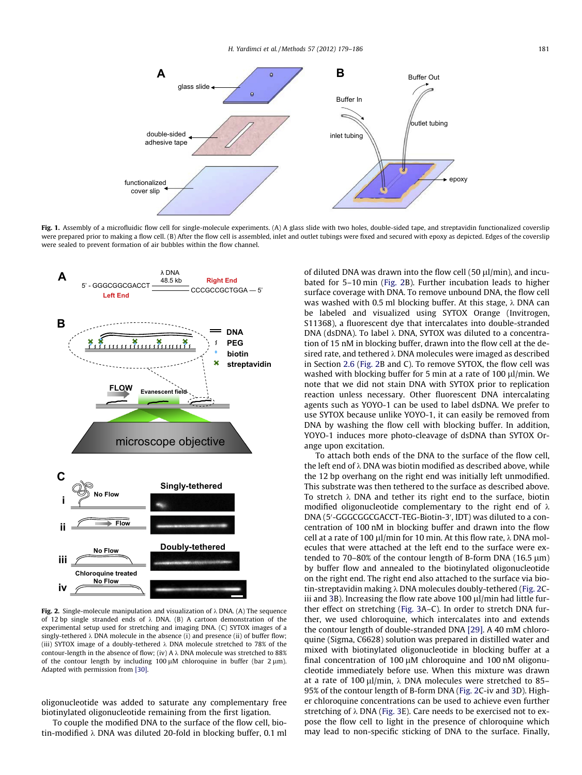<span id="page-2-0"></span>

Fig. 1. Assembly of a microfluidic flow cell for single-molecule experiments. (A) A glass slide with two holes, double-sided tape, and streptavidin functionalized coverslip were prepared prior to making a flow cell. (B) After the flow cell is assembled, inlet and outlet tubings were fixed and secured with epoxy as depicted. Edges of the coverslip were sealed to prevent formation of air bubbles within the flow channel.



Fig. 2. Single-molecule manipulation and visualization of  $\lambda$  DNA. (A) The sequence of 12 bp single stranded ends of  $\lambda$  DNA. (B) A cartoon demonstration of the experimental setup used for stretching and imaging DNA. (C) SYTOX images of a singly-tethered  $\lambda$  DNA molecule in the absence (i) and presence (ii) of buffer flow: (iii) SYTOX image of a doubly-tethered  $\lambda$  DNA molecule stretched to 78% of the contour-length in the absence of flow; (iv) A  $\lambda$  DNA molecule was stretched to 88% of the contour length by including 100  $\mu$ M chloroquine in buffer (bar 2  $\mu$ m). Adapted with permission from [\[30\].](#page-7-0)

oligonucleotide was added to saturate any complementary free biotinylated oligonucleotide remaining from the first ligation.

To couple the modified DNA to the surface of the flow cell, biotin-modified  $\lambda$  DNA was diluted 20-fold in blocking buffer, 0.1 ml of diluted DNA was drawn into the flow cell (50  $\mu$ l/min), and incubated for 5–10 min (Fig. 2B). Further incubation leads to higher surface coverage with DNA. To remove unbound DNA, the flow cell was washed with 0.5 ml blocking buffer. At this stage,  $\lambda$  DNA can be labeled and visualized using SYTOX Orange (Invitrogen, S11368), a fluorescent dye that intercalates into double-stranded DNA (dsDNA). To label  $\lambda$  DNA, SYTOX was diluted to a concentration of 15 nM in blocking buffer, drawn into the flow cell at the desired rate, and tethered  $\lambda$  DNA molecules were imaged as described in Section [2.6](#page-6-0) (Fig. 2B and C). To remove SYTOX, the flow cell was washed with blocking buffer for 5 min at a rate of 100  $\mu$ l/min. We note that we did not stain DNA with SYTOX prior to replication reaction unless necessary. Other fluorescent DNA intercalating agents such as YOYO-1 can be used to label dsDNA. We prefer to use SYTOX because unlike YOYO-1, it can easily be removed from DNA by washing the flow cell with blocking buffer. In addition, YOYO-1 induces more photo-cleavage of dsDNA than SYTOX Orange upon excitation.

To attach both ends of the DNA to the surface of the flow cell, the left end of  $\lambda$  DNA was biotin modified as described above, while the 12 bp overhang on the right end was initially left unmodified. This substrate was then tethered to the surface as described above. To stretch  $\lambda$  DNA and tether its right end to the surface, biotin modified oligonucleotide complementary to the right end of  $\lambda$ DNA (5'-GGGCGGCGACCT-TEG-Biotin-3', IDT) was diluted to a concentration of 100 nM in blocking buffer and drawn into the flow cell at a rate of 100  $\mu$ l/min for 10 min. At this flow rate,  $\lambda$  DNA molecules that were attached at the left end to the surface were extended to 70–80% of the contour length of B-form DNA  $(16.5 \,\mu m)$ by buffer flow and annealed to the biotinylated oligonucleotide on the right end. The right end also attached to the surface via biotin-streptavidin making  $\lambda$  DNA molecules doubly-tethered (Fig. 2C-iii and [3B](#page-3-0)). Increasing the flow rate above 100  $\mu$ l/min had little further effect on stretching ([Fig. 3](#page-3-0)A–C). In order to stretch DNA further, we used chloroquine, which intercalates into and extends the contour length of double-stranded DNA [\[29\]](#page-7-0). A 40 mM chloroquine (Sigma, C6628) solution was prepared in distilled water and mixed with biotinylated oligonucleotide in blocking buffer at a final concentration of 100  $\mu$ M chloroquine and 100 nM oligonucleotide immediately before use. When this mixture was drawn at a rate of 100  $\mu$ l/min,  $\lambda$  DNA molecules were stretched to 85– 95% of the contour length of B-form DNA (Fig. 2C-iv and [3](#page-3-0)D). Higher chloroquine concentrations can be used to achieve even further stretching of  $\lambda$  DNA [\(Fig. 3](#page-3-0)E). Care needs to be exercised not to expose the flow cell to light in the presence of chloroquine which may lead to non-specific sticking of DNA to the surface. Finally,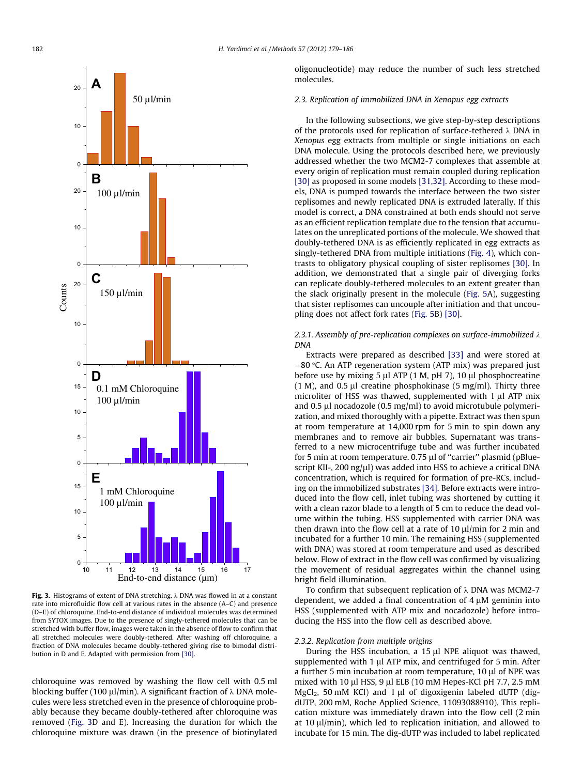<span id="page-3-0"></span>

Fig. 3. Histograms of extent of DNA stretching.  $\lambda$  DNA was flowed in at a constant rate into microfluidic flow cell at various rates in the absence (A–C) and presence (D–E) of chloroquine. End-to-end distance of individual molecules was determined from SYTOX images. Due to the presence of singly-tethered molecules that can be stretched with buffer flow, images were taken in the absence of flow to confirm that all stretched molecules were doubly-tethered. After washing off chloroquine, a fraction of DNA molecules became doubly-tethered giving rise to bimodal distribution in D and E. Adapted with permission from [\[30\]](#page-7-0).

chloroquine was removed by washing the flow cell with 0.5 ml blocking buffer (100  $\mu$ l/min). A significant fraction of  $\lambda$  DNA molecules were less stretched even in the presence of chloroquine probably because they became doubly-tethered after chloroquine was removed (Fig. 3D and E). Increasing the duration for which the chloroquine mixture was drawn (in the presence of biotinylated oligonucleotide) may reduce the number of such less stretched molecules.

### 2.3. Replication of immobilized DNA in Xenopus egg extracts

In the following subsections, we give step-by-step descriptions of the protocols used for replication of surface-tethered  $\lambda$  DNA in Xenopus egg extracts from multiple or single initiations on each DNA molecule. Using the protocols described here, we previously addressed whether the two MCM2-7 complexes that assemble at every origin of replication must remain coupled during replication [\[30\]](#page-7-0) as proposed in some models [\[31,32\].](#page-7-0) According to these models, DNA is pumped towards the interface between the two sister replisomes and newly replicated DNA is extruded laterally. If this model is correct, a DNA constrained at both ends should not serve as an efficient replication template due to the tension that accumulates on the unreplicated portions of the molecule. We showed that doubly-tethered DNA is as efficiently replicated in egg extracts as singly-tethered DNA from multiple initiations [\(Fig. 4](#page-4-0)), which contrasts to obligatory physical coupling of sister replisomes [\[30\]](#page-7-0). In addition, we demonstrated that a single pair of diverging forks can replicate doubly-tethered molecules to an extent greater than the slack originally present in the molecule ([Fig. 5A](#page-4-0)), suggesting that sister replisomes can uncouple after initiation and that uncoupling does not affect fork rates [\(Fig. 5B](#page-4-0)) [\[30\].](#page-7-0)

## 2.3.1. Assembly of pre-replication complexes on surface-immobilized  $\lambda$ DNA

Extracts were prepared as described [\[33\]](#page-7-0) and were stored at  $-80$  °C. An ATP regeneration system (ATP mix) was prepared just before use by mixing 5  $\mu$ l ATP (1 M, pH 7), 10  $\mu$ l phosphocreatine (1 M), and 0.5  $\mu$ l creatine phosphokinase (5 mg/ml). Thirty three microliter of HSS was thawed, supplemented with  $1 \mu$ l ATP mix and 0.5  $\mu$ l nocadozole (0.5 mg/ml) to avoid microtubule polymerization, and mixed thoroughly with a pipette. Extract was then spun at room temperature at 14,000 rpm for 5 min to spin down any membranes and to remove air bubbles. Supernatant was transferred to a new microcentrifuge tube and was further incubated for 5 min at room temperature.  $0.75 \mu$ l of "carrier" plasmid (pBluescript KII-, 200 ng/ $\mu$ l) was added into HSS to achieve a critical DNA concentration, which is required for formation of pre-RCs, including on the immobilized substrates [\[34\].](#page-7-0) Before extracts were introduced into the flow cell, inlet tubing was shortened by cutting it with a clean razor blade to a length of 5 cm to reduce the dead volume within the tubing. HSS supplemented with carrier DNA was then drawn into the flow cell at a rate of 10  $\mu$ l/min for 2 min and incubated for a further 10 min. The remaining HSS (supplemented with DNA) was stored at room temperature and used as described below. Flow of extract in the flow cell was confirmed by visualizing the movement of residual aggregates within the channel using bright field illumination.

To confirm that subsequent replication of  $\lambda$  DNA was MCM2-7 dependent, we added a final concentration of  $4 \mu$ M geminin into HSS (supplemented with ATP mix and nocadozole) before introducing the HSS into the flow cell as described above.

#### 2.3.2. Replication from multiple origins

During the HSS incubation, a  $15 \mu$ l NPE aliquot was thawed, supplemented with 1 µl ATP mix, and centrifuged for 5 min. After a further 5 min incubation at room temperature,  $10 \mu$ l of NPE was mixed with 10 µl HSS, 9 µl ELB (10 mM Hepes-KCl pH 7.7, 2.5 mM  $MgCl<sub>2</sub>$ , 50 mM KCl) and 1 µl of digoxigenin labeled dUTP (digdUTP, 200 mM, Roche Applied Science, 11093088910). This replication mixture was immediately drawn into the flow cell (2 min at 10  $\mu$ l/min), which led to replication initiation, and allowed to incubate for 15 min. The dig-dUTP was included to label replicated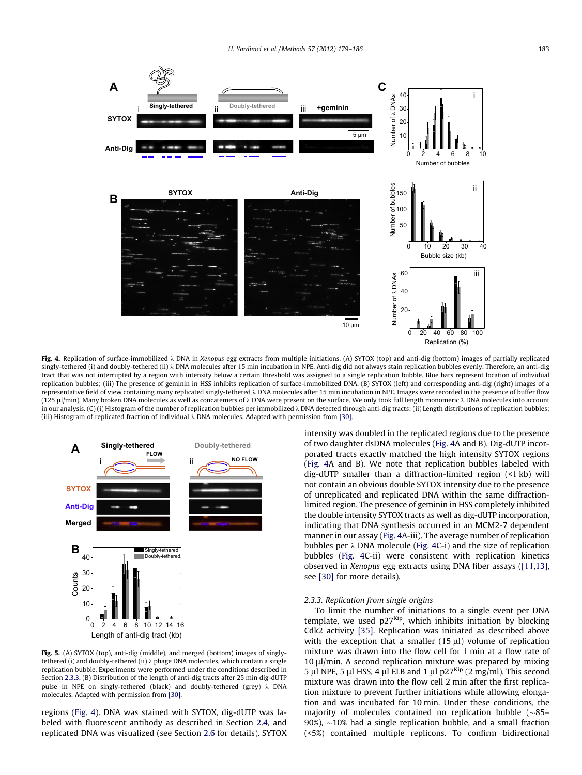<span id="page-4-0"></span>

Fig. 4. Replication of surface-immobilized  $\lambda$  DNA in Xenopus egg extracts from multiple initiations. (A) SYTOX (top) and anti-dig (bottom) images of partially replicated singly-tethered (i) and doubly-tethered (ii)  $\lambda$  DNA molecules after 15 min incubation in NPE. Anti-dig did not always stain replication bubbles evenly. Therefore, an anti-dig tract that was not interrupted by a region with intensity below a certain threshold was assigned to a single replication bubble. Blue bars represent location of individual replication bubbles; (iii) The presence of geminin in HSS inhibits replication of surface-immobilized DNA. (B) SYTOX (left) and corresponding anti-dig (right) images of a representative field of view containing many replicated singly-tethered  $\lambda$  DNA molecules after 15 min incubation in NPE. Images were recorded in the presence of buffer flow (125 µl/min). Many broken DNA molecules as well as concatemers of  $\lambda$  DNA were present on the surface. We only took full length monomeric  $\lambda$  DNA molecules into account in our analysis.  $(C)(i)$  Histogram of the number of replication bubbles per immobilized  $\lambda$  DNA detected through anti-dig tracts; (ii) Length distributions of replication bubbles; (iii) Histogram of replicated fraction of individual  $\lambda$  DNA molecules. Adapted with permission from [\[30\].](#page-7-0)



Fig. 5. (A) SYTOX (top), anti-dig (middle), and merged (bottom) images of singlytethered (i) and doubly-tethered (ii) k phage DNA molecules, which contain a single replication bubble. Experiments were performed under the conditions described in Section 2.3.3. (B) Distribution of the length of anti-dig tracts after 25 min dig-dUTP pulse in NPE on singly-tethered (black) and doubly-tethered (grey)  $\lambda$  DNA molecules. Adapted with permission from [\[30\].](#page-7-0)

regions (Fig. 4). DNA was stained with SYTOX, dig-dUTP was labeled with fluorescent antibody as described in Section [2.4](#page-5-0), and replicated DNA was visualized (see Section [2.6](#page-6-0) for details). SYTOX intensity was doubled in the replicated regions due to the presence of two daughter dsDNA molecules (Fig. 4A and B). Dig-dUTP incorporated tracts exactly matched the high intensity SYTOX regions (Fig. 4A and B). We note that replication bubbles labeled with dig-dUTP smaller than a diffraction-limited region (<1 kb) will not contain an obvious double SYTOX intensity due to the presence of unreplicated and replicated DNA within the same diffractionlimited region. The presence of geminin in HSS completely inhibited the double intensity SYTOX tracts as well as dig-dUTP incorporation, indicating that DNA synthesis occurred in an MCM2-7 dependent manner in our assay (Fig. 4A-iii). The average number of replication bubbles per  $\lambda$  DNA molecule (Fig. 4C-i) and the size of replication bubbles (Fig. 4C-ii) were consistent with replication kinetics observed in Xenopus egg extracts using DNA fiber assays ([\[11,13\],](#page-7-0) see [\[30\]](#page-7-0) for more details).

## 2.3.3. Replication from single origins

To limit the number of initiations to a single event per DNA template, we used  $p27<sup>Kip</sup>$ , which inhibits initiation by blocking Cdk2 activity [\[35\].](#page-7-0) Replication was initiated as described above with the exception that a smaller  $(15 \mu l)$  volume of replication mixture was drawn into the flow cell for 1 min at a flow rate of 10 ul/min. A second replication mixture was prepared by mixing 5 µl NPE, 5 µl HSS, 4 µl ELB and 1 µl p27<sup>Kip</sup> (2 mg/ml). This second mixture was drawn into the flow cell 2 min after the first replication mixture to prevent further initiations while allowing elongation and was incubated for 10 min. Under these conditions, the majority of molecules contained no replication bubble  $(\sim85-$ 90%),  $\sim$ 10% had a single replication bubble, and a small fraction (<5%) contained multiple replicons. To confirm bidirectional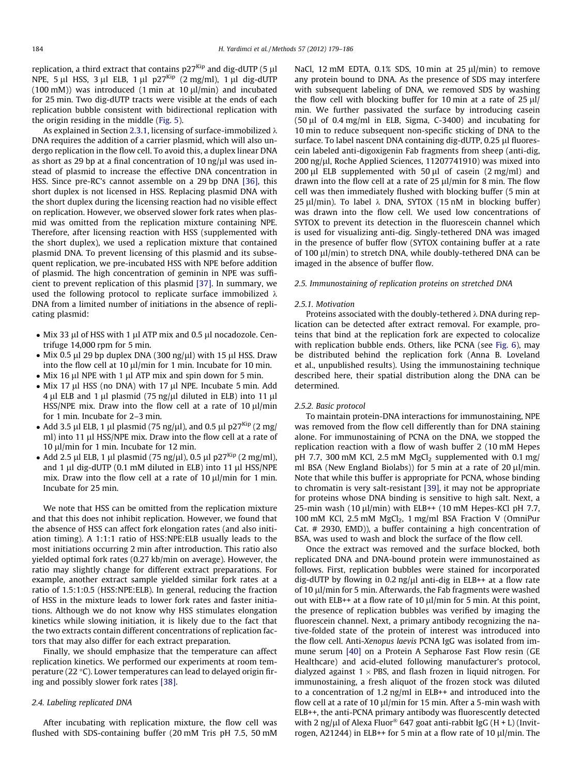<span id="page-5-0"></span>replication, a third extract that contains  $p27<sup>Kip</sup>$  and dig-dUTP (5  $\mu$ l NPE, 5 µl HSS, 3 µl ELB, 1 µl p27<sup>Kip</sup> (2 mg/ml), 1 µl dig-dUTP  $(100 \text{ mM})$ ) was introduced  $(1 \text{ min at } 10 \text{ ul/min})$  and incubated for 25 min. Two dig-dUTP tracts were visible at the ends of each replication bubble consistent with bidirectional replication with the origin residing in the middle ([Fig. 5](#page-4-0)).

As explained in Section [2.3.1,](#page-3-0) licensing of surface-immobilized  $\lambda$ DNA requires the addition of a carrier plasmid, which will also undergo replication in the flow cell. To avoid this, a duplex linear DNA as short as 29 bp at a final concentration of 10 ng/ $\mu$ l was used instead of plasmid to increase the effective DNA concentration in HSS. Since pre-RC's cannot assemble on a 29 bp DNA [\[36\],](#page-7-0) this short duplex is not licensed in HSS. Replacing plasmid DNA with the short duplex during the licensing reaction had no visible effect on replication. However, we observed slower fork rates when plasmid was omitted from the replication mixture containing NPE. Therefore, after licensing reaction with HSS (supplemented with the short duplex), we used a replication mixture that contained plasmid DNA. To prevent licensing of this plasmid and its subsequent replication, we pre-incubated HSS with NPE before addition of plasmid. The high concentration of geminin in NPE was sufficient to prevent replication of this plasmid [\[37\].](#page-7-0) In summary, we used the following protocol to replicate surface immobilized  $\lambda$ DNA from a limited number of initiations in the absence of replicating plasmid:

- Mix 33 µl of HSS with 1 µl ATP mix and 0.5 µl nocadozole. Centrifuge 14,000 rpm for 5 min.
- Mix 0.5  $\mu$ l 29 bp duplex DNA (300 ng/ $\mu$ l) with 15  $\mu$ l HSS. Draw into the flow cell at 10  $\mu$ l/min for 1 min. Incubate for 10 min.
- $\bullet$  Mix 16 µl NPE with 1 µl ATP mix and spin down for 5 min.
- Mix 17 µl HSS (no DNA) with 17 µl NPE. Incubate 5 min. Add  $4 \mu$ I ELB and 1  $\mu$ I plasmid (75 ng/ $\mu$ I diluted in ELB) into 11  $\mu$ I HSS/NPE mix. Draw into the flow cell at a rate of  $10 \mu l/min$ for 1 min. Incubate for 2–3 min.
- Add 3.5 µl ELB, 1 µl plasmid (75 ng/µl), and 0.5 µl p27<sup>Kip</sup> (2 mg/ ml) into 11 µl HSS/NPE mix. Draw into the flow cell at a rate of 10  $\mu$ l/min for 1 min. Incubate for 12 min.
- Add 2.5 µl ELB, 1 µl plasmid (75 ng/µl), 0.5 µl p27<sup>Kip</sup> (2 mg/ml), and  $1 \mu$ l dig-dUTP (0.1 mM diluted in ELB) into  $11 \mu$ l HSS/NPE mix. Draw into the flow cell at a rate of 10  $\mu$ l/min for 1 min. Incubate for 25 min.

We note that HSS can be omitted from the replication mixture and that this does not inhibit replication. However, we found that the absence of HSS can affect fork elongation rates (and also initiation timing). A 1:1:1 ratio of HSS:NPE:ELB usually leads to the most initiations occurring 2 min after introduction. This ratio also yielded optimal fork rates (0.27 kb/min on average). However, the ratio may slightly change for different extract preparations. For example, another extract sample yielded similar fork rates at a ratio of 1.5:1:0.5 (HSS:NPE:ELB). In general, reducing the fraction of HSS in the mixture leads to lower fork rates and faster initiations. Although we do not know why HSS stimulates elongation kinetics while slowing initiation, it is likely due to the fact that the two extracts contain different concentrations of replication factors that may also differ for each extract preparation.

Finally, we should emphasize that the temperature can affect replication kinetics. We performed our experiments at room temperature (22 $\degree$ C). Lower temperatures can lead to delayed origin firing and possibly slower fork rates [\[38\].](#page-7-0)

## 2.4. Labeling replicated DNA

After incubating with replication mixture, the flow cell was flushed with SDS-containing buffer (20 mM Tris pH 7.5, 50 mM NaCl,  $12 \text{ mM}$  EDTA,  $0.1\%$  SDS,  $10 \text{ min}$  at  $25 \text{ ul/min}$  to remove any protein bound to DNA. As the presence of SDS may interfere with subsequent labeling of DNA, we removed SDS by washing the flow cell with blocking buffer for 10 min at a rate of  $25 \mu$ l/ min. We further passivated the surface by introducing casein  $(50 \mu l)$  of 0.4 mg/ml in ELB, Sigma, C-3400) and incubating for 10 min to reduce subsequent non-specific sticking of DNA to the surface. To label nascent DNA containing dig-dUTP, 0.25 µl fluorescein labeled anti-digoxigenin Fab fragments from sheep (anti-dig, 200 ng/ll, Roche Applied Sciences, 11207741910) was mixed into 200  $\mu$ l ELB supplemented with 50  $\mu$ l of casein (2 mg/ml) and drawn into the flow cell at a rate of 25  $\mu$ l/min for 8 min. The flow cell was then immediately flushed with blocking buffer (5 min at 25 µl/min). To label  $\lambda$  DNA, SYTOX (15 nM in blocking buffer) was drawn into the flow cell. We used low concentrations of SYTOX to prevent its detection in the fluorescein channel which is used for visualizing anti-dig. Singly-tethered DNA was imaged in the presence of buffer flow (SYTOX containing buffer at a rate of 100 µl/min) to stretch DNA, while doubly-tethered DNA can be imaged in the absence of buffer flow.

### 2.5. Immunostaining of replication proteins on stretched DNA

#### 2.5.1. Motivation

Proteins associated with the doubly-tethered  $\lambda$  DNA during replication can be detected after extract removal. For example, proteins that bind at the replication fork are expected to colocalize with replication bubble ends. Others, like PCNA (see [Fig. 6](#page-6-0)), may be distributed behind the replication fork (Anna B. Loveland et al., unpublished results). Using the immunostaining technique described here, their spatial distribution along the DNA can be determined.

### 2.5.2. Basic protocol

To maintain protein-DNA interactions for immunostaining, NPE was removed from the flow cell differently than for DNA staining alone. For immunostaining of PCNA on the DNA, we stopped the replication reaction with a flow of wash buffer 2 (10 mM Hepes pH 7.7, 300 mM KCl, 2.5 mM MgCl<sub>2</sub> supplemented with 0.1 mg/ ml BSA (New England Biolabs)) for 5 min at a rate of 20  $\mu$ l/min. Note that while this buffer is appropriate for PCNA, whose binding to chromatin is very salt-resistant [\[39\],](#page-7-0) it may not be appropriate for proteins whose DNA binding is sensitive to high salt. Next, a 25-min wash (10  $\mu$ l/min) with ELB++ (10 mM Hepes-KCl pH 7.7, 100 mM KCl, 2.5 mM  $MgCl<sub>2</sub>$ , 1 mg/ml BSA Fraction V (OmniPur Cat. # 2930, EMD)), a buffer containing a high concentration of BSA, was used to wash and block the surface of the flow cell.

Once the extract was removed and the surface blocked, both replicated DNA and DNA-bound protein were immunostained as follows. First, replication bubbles were stained for incorporated dig-dUTP by flowing in 0.2 ng/ $\mu$ l anti-dig in ELB++ at a flow rate of 10  $\mu$ l/min for 5 min. Afterwards, the Fab fragments were washed out with ELB++ at a flow rate of 10  $\mu$ l/min for 5 min. At this point, the presence of replication bubbles was verified by imaging the fluorescein channel. Next, a primary antibody recognizing the native-folded state of the protein of interest was introduced into the flow cell. Anti-Xenopus laevis PCNA IgG was isolated from immune serum [\[40\]](#page-7-0) on a Protein A Sepharose Fast Flow resin (GE Healthcare) and acid-eluted following manufacturer's protocol, dialyzed against  $1 \times PBS$ , and flash frozen in liquid nitrogen. For immunostaining, a fresh aliquot of the frozen stock was diluted to a concentration of 1.2 ng/ml in ELB++ and introduced into the flow cell at a rate of 10  $\mu$ l/min for 15 min. After a 5-min wash with ELB++, the anti-PCNA primary antibody was fluorescently detected with 2 ng/ $\mu$ l of Alexa Fluor<sup>®</sup> 647 goat anti-rabbit IgG (H + L) (Invitrogen, A21244) in ELB++ for 5 min at a flow rate of 10  $\mu$ l/min. The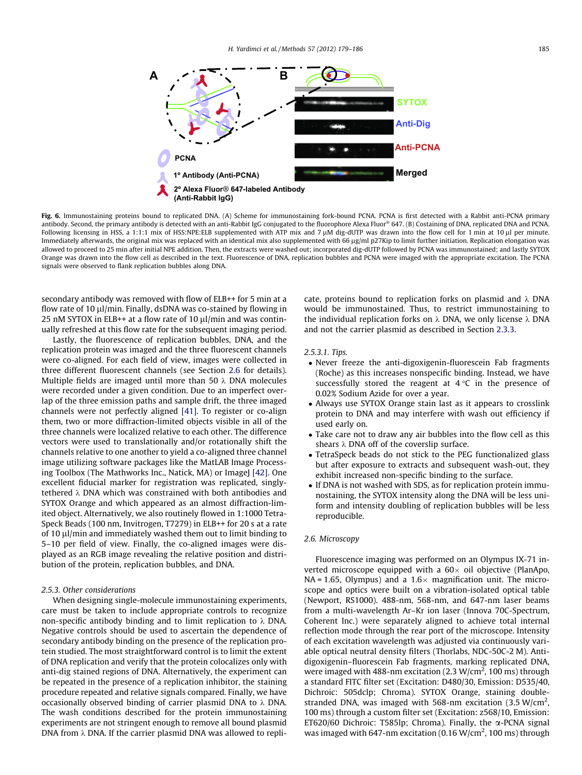<span id="page-6-0"></span>

Fig. 6. Immunostaining proteins bound to replicated DNA. (A) Scheme for immunostaining fork-bound PCNA. PCNA is first detected with a Rabbit anti-PCNA primary antibody. Second, the primary antibody is detected with an anti-Rabbit IgG conjugated to the fluorophore Alexa Fluor<sup>®</sup> 647. (B) Costaining of DNA, replicated DNA and PCNA. Following licensing in HSS, a 1:1:1 mix of HSS:NPE:ELB supplemented with ATP mix and 7  $\mu$ M dig-dUTP was drawn into the flow cell for 1 min at 10  $\mu$  per minute. Immediately afterwards, the original mix was replaced with an identical mix also supplemented with 66 µg/ml p27Kip to limit further initiation. Replication elongation was allowed to proceed to 25 min after initial NPE addition. Then, the extracts were washed out; incorporated dig-dUTP followed by PCNA was immunostained; and lastly SYTOX Orange was drawn into the flow cell as described in the text. Fluorescence of DNA, replication bubbles and PCNA were imaged with the appropriate excitation. The PCNA signals were observed to flank replication bubbles along DNA.

secondary antibody was removed with flow of ELB++ for 5 min at a flow rate of 10  $\mu$ l/min. Finally, dsDNA was co-stained by flowing in 25 nM SYTOX in ELB++ at a flow rate of 10  $\mu$ l/min and was continually refreshed at this flow rate for the subsequent imaging period.

Lastly, the fluorescence of replication bubbles, DNA, and the replication protein was imaged and the three fluorescent channels were co-aligned. For each field of view, images were collected in three different fluorescent channels (see Section 2.6 for details). Multiple fields are imaged until more than 50  $\lambda$  DNA molecules were recorded under a given condition. Due to an imperfect overlap of the three emission paths and sample drift, the three imaged channels were not perfectly aligned [\[41\]](#page-7-0). To register or co-align them, two or more diffraction-limited objects visible in all of the three channels were localized relative to each other. The difference vectors were used to translationally and/or rotationally shift the channels relative to one another to yield a co-aligned three channel image utilizing software packages like the MatLAB Image Process-ing Toolbox (The Mathworks Inc., Natick, MA) or ImageJ [\[42\].](#page-7-0) One excellent fiducial marker for registration was replicated, singlytethered  $\lambda$  DNA which was constrained with both antibodies and SYTOX Orange and which appeared as an almost diffraction-limited object. Alternatively, we also routinely flowed in 1:1000 Tetra-Speck Beads (100 nm, Invitrogen, T7279) in ELB++ for 20 s at a rate of 10  $\mu$ l/min and immediately washed them out to limit binding to 5–10 per field of view. Finally, the co-aligned images were displayed as an RGB image revealing the relative position and distribution of the protein, replication bubbles, and DNA.

#### 2.5.3. Other considerations

When designing single-molecule immunostaining experiments, care must be taken to include appropriate controls to recognize non-specific antibody binding and to limit replication to  $\lambda$  DNA. Negative controls should be used to ascertain the dependence of secondary antibody binding on the presence of the replication protein studied. The most straightforward control is to limit the extent of DNA replication and verify that the protein colocalizes only with anti-dig stained regions of DNA. Alternatively, the experiment can be repeated in the presence of a replication inhibitor, the staining procedure repeated and relative signals compared. Finally, we have occasionally observed binding of carrier plasmid DNA to  $\lambda$  DNA. The wash conditions described for the protein immunostaining experiments are not stringent enough to remove all bound plasmid DNA from  $\lambda$  DNA. If the carrier plasmid DNA was allowed to replicate, proteins bound to replication forks on plasmid and  $\lambda$  DNA would be immunostained. Thus, to restrict immunostaining to the individual replication forks on  $\lambda$  DNA, we only license  $\lambda$  DNA and not the carrier plasmid as described in Section [2.3.3.](#page-4-0)

#### 2.5.3.1. Tips.

- Never freeze the anti-digoxigenin-fluorescein Fab fragments (Roche) as this increases nonspecific binding. Instead, we have successfully stored the reagent at  $4^{\circ}C$  in the presence of 0.02% Sodium Azide for over a year.
- Always use SYTOX Orange stain last as it appears to crosslink protein to DNA and may interfere with wash out efficiency if used early on.
- Take care not to draw any air bubbles into the flow cell as this shears  $\lambda$  DNA off of the coverslip surface.
- TetraSpeck beads do not stick to the PEG functionalized glass but after exposure to extracts and subsequent wash-out, they exhibit increased non-specific binding to the surface.
- If DNA is not washed with SDS, as for replication protein immunostaining, the SYTOX intensity along the DNA will be less uniform and intensity doubling of replication bubbles will be less reproducible.

### 2.6. Microscopy

Fluorescence imaging was performed on an Olympus IX-71 inverted microscope equipped with a  $60\times$  oil objective (PlanApo,  $NA = 1.65$ , Olympus) and a  $1.6 \times$  magnification unit. The microscope and optics were built on a vibration-isolated optical table (Newport, RS1000). 488-nm, 568-nm, and 647-nm laser beams from a multi-wavelength Ar–Kr ion laser (Innova 70C-Spectrum, Coherent Inc.) were separately aligned to achieve total internal reflection mode through the rear port of the microscope. Intensity of each excitation wavelength was adjusted via continuously variable optical neutral density filters (Thorlabs, NDC-50C-2 M). Antidigoxigenin–fluorescein Fab fragments, marking replicated DNA, were imaged with 488-nm excitation  $(2.3 \text{ W/cm}^2, 100 \text{ ms})$  through a standard FITC filter set (Excitation: D480/30, Emission: D535/40, Dichroic: 505dclp; Chroma). SYTOX Orange, staining doublestranded DNA, was imaged with 568-nm excitation (3.5 W/cm<sup>2</sup>, 100 ms) through a custom filter set (Excitation: z568/10, Emission: ET620/60 Dichroic: T585lp; Chroma). Finally, the  $\alpha$ -PCNA signal was imaged with 647-nm excitation (0.16  $W/cm<sup>2</sup>$ , 100 ms) through